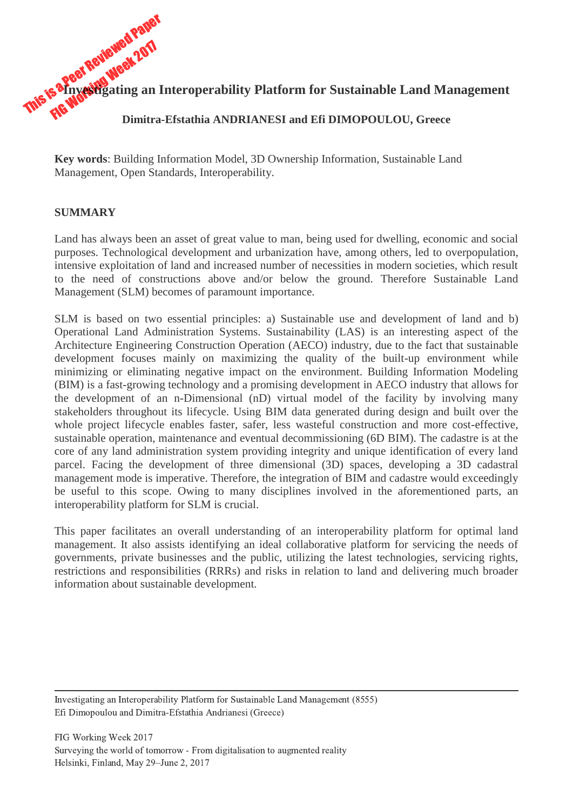

**Key words**: Building Information Model, 3D Ownership Information, Sustainable Land Management, Open Standards, Interoperability.

### **SUMMARY**

Land has always been an asset of great value to man, being used for dwelling, economic and social purposes. Technological development and urbanization have, among others, led to overpopulation, intensive exploitation of land and increased number of necessities in modern societies, which result to the need of constructions above and/or below the ground. Therefore Sustainable Land Management (SLM) becomes of paramount importance.

SLM is based on two essential principles: a) Sustainable use and development of land and b) Operational Land Administration Systems. Sustainability (LAS) is an interesting aspect of the Architecture Engineering Construction Operation (AECO) industry, due to the fact that sustainable development focuses mainly on maximizing the quality of the built-up environment while minimizing or eliminating negative impact on the environment. Building Information Modeling (BIM) is a fast-growing technology and a promising development in AECO industry that allows for the development of an n-Dimensional (nD) virtual model of the facility by involving many stakeholders throughout its lifecycle. Using BIM data generated during design and built over the whole project lifecycle enables faster, safer, less wasteful construction and more cost-effective, sustainable operation, maintenance and eventual decommissioning (6D BIM). The cadastre is at the core of any land administration system providing integrity and unique identification of every land parcel. Facing the development of three dimensional (3D) spaces, developing a 3D cadastral management mode is imperative. Therefore, the integration of BIM and cadastre would exceedingly be useful to this scope. Owing to many disciplines involved in the aforementioned parts, an interoperability platform for SLM is crucial.

This paper facilitates an overall understanding of an interoperability platform for optimal land management. It also assists identifying an ideal collaborative platform for servicing the needs of governments, private businesses and the public, utilizing the latest technologies, servicing rights, restrictions and responsibilities (RRRs) and risks in relation to land and delivering much broader information about sustainable development.

Investigating an Interoperability Platform for Sustainable Land Management (8555) Efi Dimopoulou and Dimitra-Efstathia Andrianesi (Greece)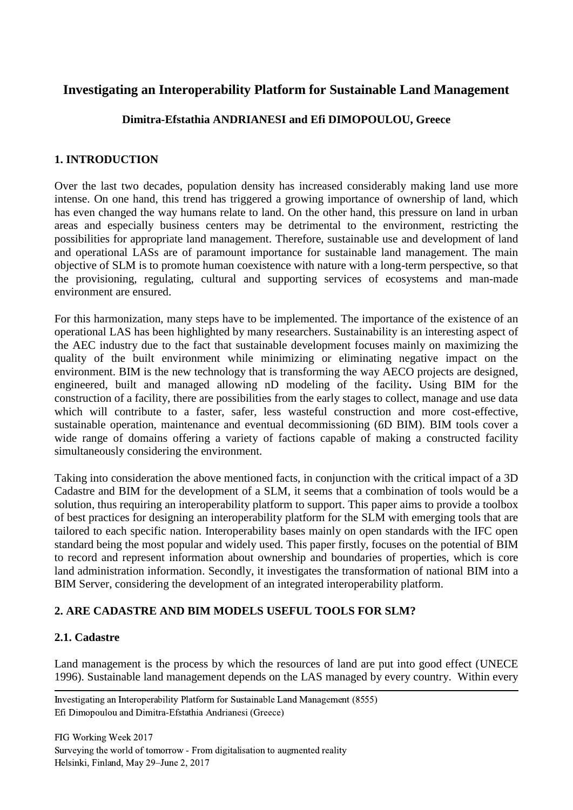# **Investigating an Interoperability Platform for Sustainable Land Management**

### **Dimitra-Efstathia ANDRIANESI and Efi DIMOPOULOU, Greece**

### **1. INTRODUCTION**

Over the last two decades, population density has increased considerably making land use more intense. On one hand, this trend has triggered a growing importance of ownership of land, which has even changed the way humans relate to land. On the other hand, this pressure on land in urban areas and especially business centers may be detrimental to the environment, restricting the possibilities for appropriate land management. Therefore, sustainable use and development of land and operational LASs are of paramount importance for sustainable land management. The main objective of SLM is to promote human coexistence with nature with a long-term perspective, so that the provisioning, regulating, cultural and supporting services of ecosystems and man-made environment are ensured.

For this harmonization, many steps have to be implemented. The importance of the existence of an operational LAS has been highlighted by many researchers. Sustainability is an interesting aspect of the AEC industry due to the fact that sustainable development focuses mainly on maximizing the quality of the built environment while minimizing or eliminating negative impact on the environment. BIM is the new technology that is transforming the way AECO projects are designed, engineered, built and managed allowing nD modeling of the facility**.** Using BIM for the construction of a facility, there are possibilities from the early stages to collect, manage and use data which will contribute to a faster, safer, less wasteful construction and more cost-effective, sustainable operation, maintenance and eventual decommissioning (6D BIM). BIM tools cover a wide range of domains offering a variety of factions capable of making a constructed facility simultaneously considering the environment.

Taking into consideration the above mentioned facts, in conjunction with the critical impact of a 3D Cadastre and BIM for the development of a SLM, it seems that a combination of tools would be a solution, thus requiring an interoperability platform to support. This paper aims to provide a toolbox of best practices for designing an interoperability platform for the SLM with emerging tools that are tailored to each specific nation. Interoperability bases mainly on open standards with the IFC open standard being the most popular and widely used. This paper firstly, focuses on the potential of BIM to record and represent information about ownership and boundaries of properties, which is core land administration information. Secondly, it investigates the transformation of national BIM into a BIM Server, considering the development of an integrated interoperability platform.

### **2. ARE CADASTRE AND BIM MODELS USEFUL TOOLS FOR SLM?**

### **2.1. Cadastre**

Land management is the process by which the resources of land are put into good effect (UNECE 1996). Sustainable land management depends on the LAS managed by every country. Within every

 Investigating an Interoperability Platform for Sustainable Land Management (8555) Efi Dimopoulou and Dimitra-Efstathia Andrianesi (Greece)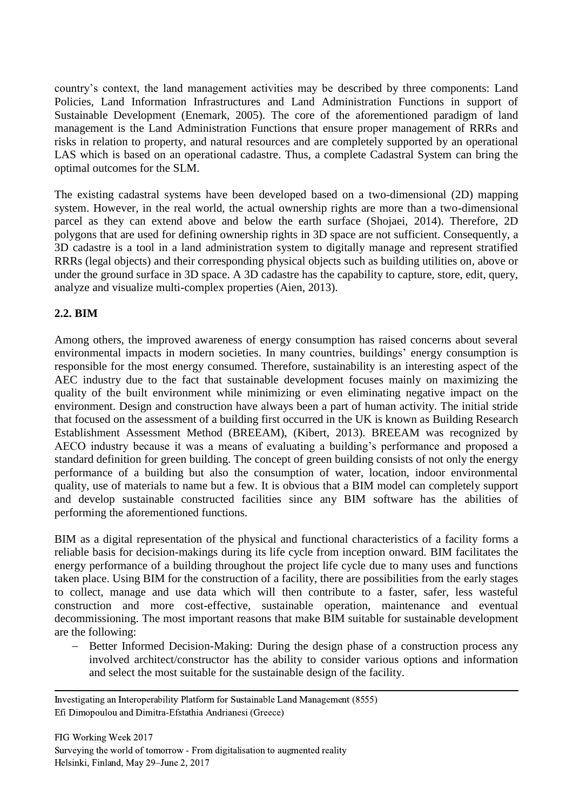country's context, the land management activities may be described by three components: Land Policies, Land Information Infrastructures and Land Administration Functions in support of Sustainable Development (Enemark, 2005). The core of the aforementioned paradigm of land management is the Land Administration Functions that ensure proper management of RRRs and risks in relation to property, and natural resources and are completely supported by an operational LAS which is based on an operational cadastre. Thus, a complete Cadastral System can bring the optimal outcomes for the SLM.

The existing cadastral systems have been developed based on a two-dimensional (2D) mapping system. However, in the real world, the actual ownership rights are more than a two-dimensional parcel as they can extend above and below the earth surface (Shojaei, 2014). Therefore, 2D polygons that are used for defining ownership rights in 3D space are not sufficient. Consequently, a 3D cadastre is a tool in a land administration system to digitally manage and represent stratified RRRs (legal objects) and their corresponding physical objects such as building utilities on*,* above or under the ground surface in 3D space. A 3D cadastre has the capability to capture, store, edit, query, analyze and visualize multi-complex properties (Aien, 2013).

# **2.2. BIM**

Among others, the improved awareness of energy consumption has raised concerns about several environmental impacts in modern societies. In many countries, buildings' energy consumption is responsible for the most energy consumed. Therefore, sustainability is an interesting aspect of the AEC industry due to the fact that sustainable development focuses mainly on maximizing the quality of the built environment while minimizing or even eliminating negative impact on the environment. Design and construction have always been a part of human activity. The initial stride that focused on the assessment of a building first occurred in the UK is known as Building Research Establishment Assessment Method (BREEAM), (Kibert, 2013). BREEAM was recognized by AECO industry because it was a means of evaluating a building's performance and proposed a standard definition for green building. The concept of green building consists of not only the energy performance of a building but also the consumption of water, location, indoor environmental quality, use of materials to name but a few. It is obvious that a BIM model can completely support and develop sustainable constructed facilities since any BIM software has the abilities of performing the aforementioned functions.

BIM as a digital representation of the physical and functional characteristics of a facility forms a reliable basis for decision-makings during its life cycle from inception onward. BIM facilitates the energy performance of a building throughout the project life cycle due to many uses and functions taken place. Using BIM for the construction of a facility, there are possibilities from the early stages to collect, manage and use data which will then contribute to a faster, safer, less wasteful construction and more cost-effective, sustainable operation, maintenance and eventual decommissioning. The most important reasons that make BIM suitable for sustainable development are the following:

 Better Informed Decision-Making: During the design phase of a construction process any involved architect/constructor has the ability to consider various options and information and select the most suitable for the sustainable design of the facility.

 Investigating an Interoperability Platform for Sustainable Land Management (8555) Efi Dimopoulou and Dimitra-Efstathia Andrianesi (Greece)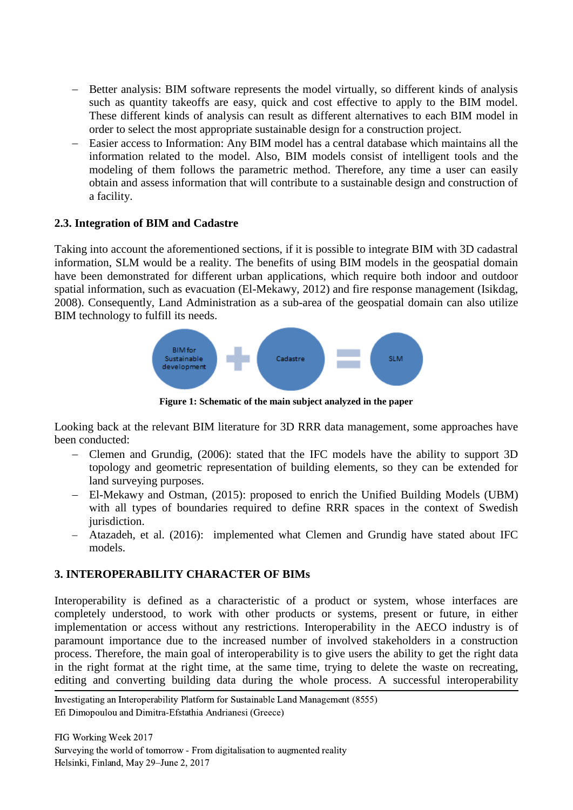- Better analysis: BIM software represents the model virtually, so different kinds of analysis such as quantity takeoffs are easy, quick and cost effective to apply to the BIM model. These different kinds of analysis can result as different alternatives to each BIM model in order to select the most appropriate sustainable design for a construction project.
- Easier access to Information: Any BIM model has a central database which maintains all the information related to the model. Also, BIM models consist of intelligent tools and the modeling of them follows the parametric method. Therefore, any time a user can easily obtain and assess information that will contribute to a sustainable design and construction of a facility.

#### **2.3. Integration of BIM and Cadastre**

Taking into account the aforementioned sections, if it is possible to integrate BIM with 3D cadastral information, SLM would be a reality. The benefits of using BIM models in the geospatial domain have been demonstrated for different urban applications, which require both indoor and outdoor spatial information, such as evacuation (El-Mekawy, 2012) and fire response management (Isikdag, 2008). Consequently, Land Administration as a sub-area of the geospatial domain can also utilize BIM technology to fulfill its needs.



**Figure 1: Schematic of the main subject analyzed in the paper**

Looking back at the relevant BIM literature for 3D RRR data management, some approaches have been conducted:

- Clemen and Grundig, (2006): stated that the IFC models have the ability to support 3D topology and geometric representation of building elements, so they can be extended for land surveying purposes.
- El-Mekawy and Ostman, (2015): proposed to enrich the Unified Building Models (UBM) with all types of boundaries required to define RRR spaces in the context of Swedish jurisdiction.
- Atazadeh, et al. (2016): implemented what Clemen and Grundig have stated about IFC models.

### **3. INTEROPERABILITY CHARACTER OF BIMs**

Interoperability is defined as a characteristic of a product or system, whose interfaces are completely understood, to work with other products or systems, present or future, in either implementation or access without any restrictions. Interoperability in the AECO industry is of paramount importance due to the increased number of involved stakeholders in a construction process. Therefore, the main goal of interoperability is to give users the ability to get the right data in the right format at the right time, at the same time, trying to delete the waste on recreating, editing and converting building data during the whole process. A successful interoperability

 Investigating an Interoperability Platform for Sustainable Land Management (8555) Efi Dimopoulou and Dimitra-Efstathia Andrianesi (Greece)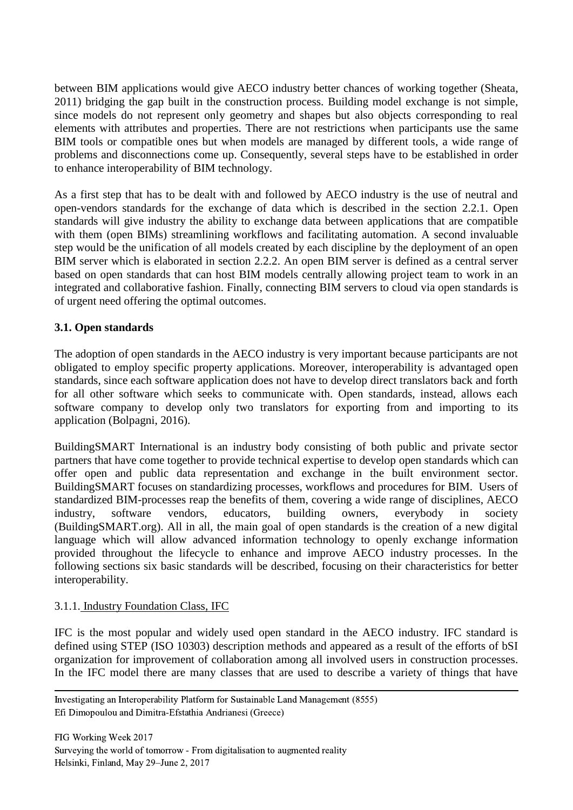between BIM applications would give AECO industry better chances of working together (Sheata, 2011) bridging the gap built in the construction process. Building model exchange is not simple, since models do not represent only geometry and shapes but also objects corresponding to real elements with attributes and properties. There are not restrictions when participants use the same BIM tools or compatible ones but when models are managed by different tools, a wide range of problems and disconnections come up. Consequently, several steps have to be established in order to enhance interoperability of BIM technology.

As a first step that has to be dealt with and followed by AECO industry is the use of neutral and open-vendors standards for the exchange of data which is described in the section 2.2.1. Open standards will give industry the ability to exchange data between applications that are compatible with them (open BIMs) streamlining workflows and facilitating automation. A second invaluable step would be the unification of all models created by each discipline by the deployment of an open BIM server which is elaborated in section 2.2.2. An open BIM server is defined as a central server based on open standards that can host BIM models centrally allowing project team to work in an integrated and collaborative fashion. Finally, connecting BIM servers to cloud via open standards is of urgent need offering the optimal outcomes.

### **3.1. Open standards**

The adoption of open standards in the AECO industry is very important because participants are not obligated to employ specific property applications. Moreover, interoperability is advantaged open standards, since each software application does not have to develop direct translators back and forth for all other software which seeks to communicate with. Open standards, instead, allows each software company to develop only two translators for exporting from and importing to its application (Bolpagni, 2016).

BuildingSMART International is an industry body consisting of both public and private sector partners that have come together to provide technical expertise to develop open standards which can offer open and public data representation and exchange in the built environment sector. BuildingSMART focuses on standardizing processes, workflows and procedures for BIM. Users of standardized BIM-processes reap the benefits of them, covering a wide range of disciplines, AECO industry, software vendors, educators, building owners, everybody in society (BuildingSMART.org). All in all, the main goal of open standards is the creation of a new digital language which will allow advanced information technology to openly exchange information provided throughout the lifecycle to enhance and improve AECO industry processes. In the following sections six basic standards will be described, focusing on their characteristics for better interoperability.

### 3.1.1. Industry Foundation Class, IFC

IFC is the most popular and widely used open standard in the AECO industry. IFC standard is defined using STEP (ISO 10303) description methods and appeared as a result of the efforts of bSI organization for improvement of collaboration among all involved users in construction processes. In the IFC model there are many classes that are used to describe a variety of things that have

 Investigating an Interoperability Platform for Sustainable Land Management (8555) Efi Dimopoulou and Dimitra-Efstathia Andrianesi (Greece)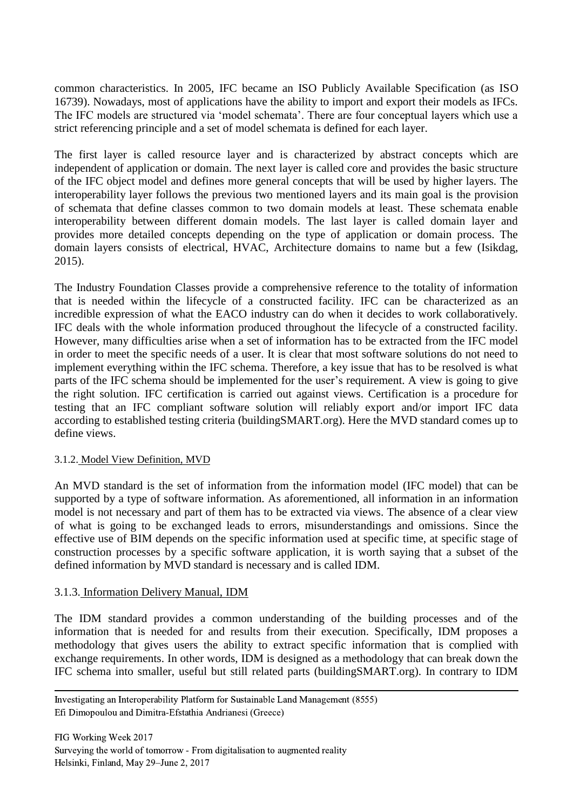common characteristics. In 2005, IFC became an ISO Publicly Available Specification (as ISO 16739). Nowadays, most of applications have the ability to import and export their models as IFCs. The IFC models are structured via 'model schemata'. There are four conceptual layers which use a strict referencing principle and a set of model schemata is defined for each layer.

The first layer is called resource layer and is characterized by abstract concepts which are independent of application or domain. The next layer is called core and provides the basic structure of the IFC object model and defines more general concepts that will be used by higher layers. The interoperability layer follows the previous two mentioned layers and its main goal is the provision of schemata that define classes common to two domain models at least. These schemata enable interoperability between different domain models. The last layer is called domain layer and provides more detailed concepts depending on the type of application or domain process. The domain layers consists of electrical, HVAC, Architecture domains to name but a few (Isikdag, 2015).

The Industry Foundation Classes provide a comprehensive reference to the totality of information that is needed within the lifecycle of a constructed facility. IFC can be characterized as an incredible expression of what the EACO industry can do when it decides to work collaboratively. IFC deals with the whole information produced throughout the lifecycle of a constructed facility. However, many difficulties arise when a set of information has to be extracted from the IFC model in order to meet the specific needs of a user. It is clear that most software solutions do not need to implement everything within the IFC schema. Therefore, a key issue that has to be resolved is what parts of the IFC schema should be implemented for the user's requirement. A view is going to give the right solution. IFC certification is carried out against views. Certification is a procedure for testing that an IFC compliant software solution will reliably export and/or import IFC data according to established testing criteria (buildingSMART.org). Here the MVD standard comes up to define views.

### 3.1.2. Model View Definition, MVD

An MVD standard is the set of information from the information model (IFC model) that can be supported by a type of software information. As aforementioned, all information in an information model is not necessary and part of them has to be extracted via views. The absence of a clear view of what is going to be exchanged leads to errors, misunderstandings and omissions. Since the effective use of BIM depends on the specific information used at specific time, at specific stage of construction processes by a specific software application, it is worth saying that a subset of the defined information by MVD standard is necessary and is called IDM.

### 3.1.3. Information Delivery Manual, IDM

The IDM standard provides a common understanding of the building processes and of the information that is needed for and results from their execution. Specifically, IDM proposes a methodology that gives users the ability to extract specific information that is complied with exchange requirements. In other words, IDM is designed as a methodology that can break down the IFC schema into smaller, useful but still related parts (buildingSMART.org). In contrary to IDM

 Investigating an Interoperability Platform for Sustainable Land Management (8555) Efi Dimopoulou and Dimitra-Efstathia Andrianesi (Greece)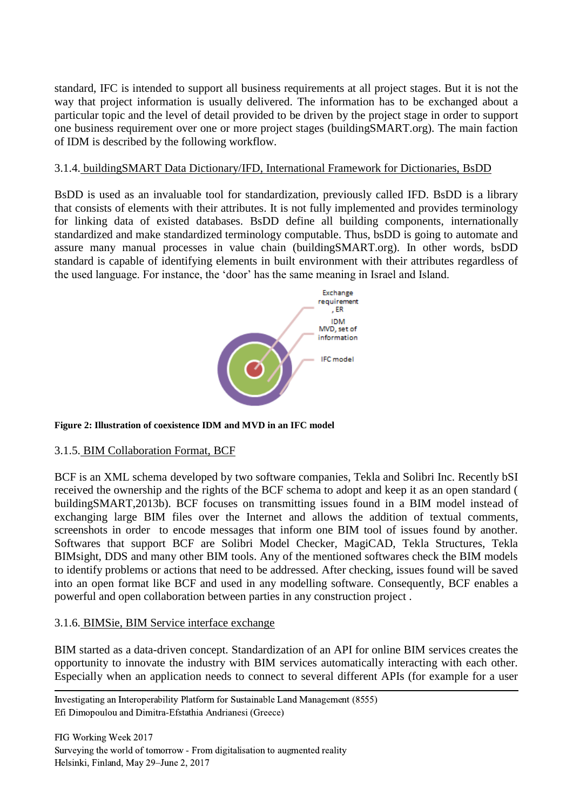standard, IFC is intended to support all business requirements at all project stages. But it is not the way that project information is usually delivered. The information has to be exchanged about a particular topic and the level of detail provided to be driven by the project stage in order to support one business requirement over one or more project stages (buildingSMART.org). The main faction of IDM is described by the following workflow.

#### 3.1.4. buildingSMART Data Dictionary/IFD, International Framework for Dictionaries, BsDD

BsDD is used as an invaluable tool for standardization, previously called IFD. BsDD is a library that consists of elements with their attributes. It is not fully implemented and provides terminology for linking data of existed databases. BsDD define all building components, internationally standardized and make standardized terminology computable. Thus, bsDD is going to automate and assure many manual processes in value chain (buildingSMART.org). In other words, bsDD standard is capable of identifying elements in built environment with their attributes regardless of the used language. For instance, the 'door' has the same meaning in Israel and Island.



**Figure 2: Illustration of coexistence IDM and MVD in an IFC model**

### 3.1.5. BIM Collaboration Format, BCF

BCF is an XML schema developed by two software companies, Tekla and Solibri Inc. Recently bSI received the ownership and the rights of the BCF schema to adopt and keep it as an open standard ( buildingSMART,2013b). BCF focuses on transmitting issues found in a BIM model instead of exchanging large BIM files over the Internet and allows the addition of textual comments, screenshots in order to encode messages that inform one BIM tool of issues found by another. Softwares that support BCF are Solibri Model Checker, MagiCAD, Tekla Structures, Tekla BIMsight, DDS and many other BIM tools. Any of the mentioned softwares check the BIM models to identify problems or actions that need to be addressed. After checking, issues found will be saved into an open format like BCF and used in any modelling software. Consequently, BCF enables a powerful and open collaboration between parties in any construction project .

#### 3.1.6. BIMSie, BIM Service interface exchange

BIM started as a data-driven concept. Standardization of an API for online BIM services creates the opportunity to innovate the industry with BIM services automatically interacting with each other. Especially when an application needs to connect to several different APIs (for example for a user

 Investigating an Interoperability Platform for Sustainable Land Management (8555) Efi Dimopoulou and Dimitra-Efstathia Andrianesi (Greece)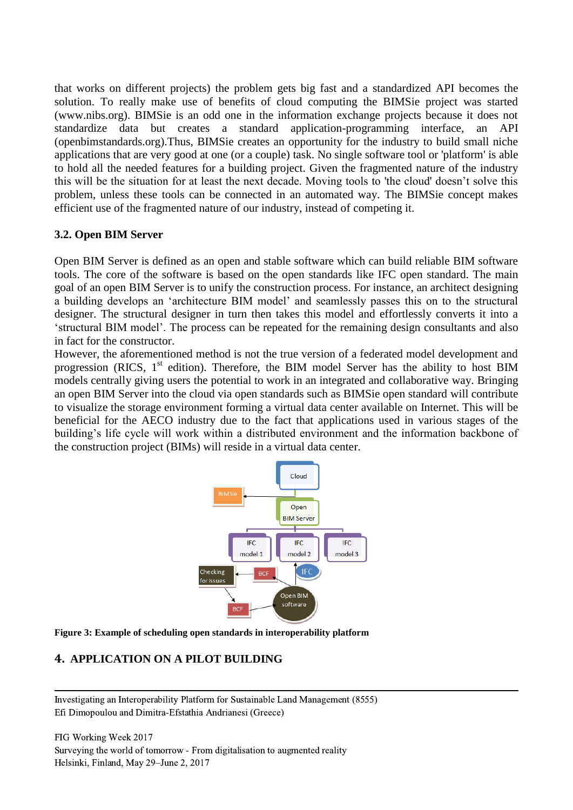that works on different projects) the problem gets big fast and a standardized API becomes the solution. To really make use of benefits of cloud computing the BIMSie project was started (www.nibs.org). BIMSie is an odd one in the information exchange projects because it does not standardize data but creates a standard application-programming interface, an API (openbimstandards.org).Thus, BIMSie creates an opportunity for the industry to build small niche applications that are very good at one (or a couple) task. No single software tool or 'platform' is able to hold all the needed features for a building project. Given the fragmented nature of the industry this will be the situation for at least the next decade. Moving tools to 'the cloud' doesn't solve this problem, unless these tools can be connected in an automated way. The BIMSie concept makes efficient use of the fragmented nature of our industry, instead of competing it.

### **3.2. Open BIM Server**

Open BIM Server is defined as an open and stable software which can build reliable BIM software tools. The core of the software is based on the open standards like IFC open standard. The main goal of an open BIM Server is to unify the construction process. For instance, an architect designing a building develops an 'architecture BIM model' and seamlessly passes this on to the structural designer. The structural designer in turn then takes this model and effortlessly converts it into a 'structural BIM model'. The process can be repeated for the remaining design consultants and also in fact for the constructor.

However, the aforementioned method is not the true version of a federated model development and progression (RICS,  $1<sup>st</sup>$  edition). Therefore, the BIM model Server has the ability to host BIM models centrally giving users the potential to work in an integrated and collaborative way. Bringing an open BIM Server into the cloud via open standards such as BIMSie open standard will contribute to visualize the storage environment forming a virtual data center available on Internet. This will be beneficial for the AECO industry due to the fact that applications used in various stages of the building's life cycle will work within a distributed environment and the information backbone of the construction project (BIMs) will reside in a virtual data center.



**Figure 3: Example of scheduling open standards in interoperability platform**

### **4. APPLICATION ON A PILOT BUILDING**

 Investigating an Interoperability Platform for Sustainable Land Management (8555) Efi Dimopoulou and Dimitra-Efstathia Andrianesi (Greece)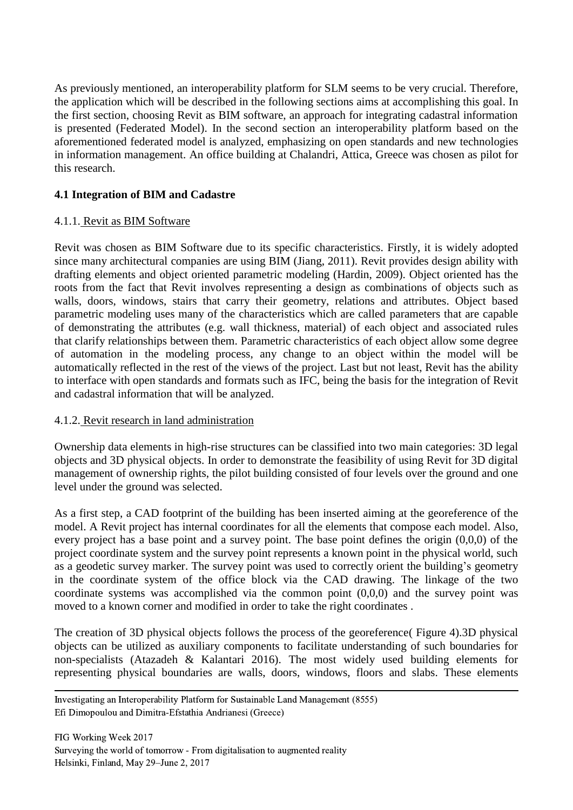As previously mentioned, an interoperability platform for SLM seems to be very crucial. Therefore, the application which will be described in the following sections aims at accomplishing this goal. In the first section, choosing Revit as BIM software, an approach for integrating cadastral information is presented (Federated Model). In the second section an interoperability platform based on the aforementioned federated model is analyzed, emphasizing on open standards and new technologies in information management. An office building at Chalandri, Attica, Greece was chosen as pilot for this research.

# **4.1 Integration of BIM and Cadastre**

#### 4.1.1. Revit as BIM Software

Revit was chosen as BIM Software due to its specific characteristics. Firstly, it is widely adopted since many architectural companies are using BIM (Jiang, 2011). Revit provides design ability with drafting elements and object oriented parametric modeling (Hardin, 2009). Object oriented has the roots from the fact that Revit involves representing a design as combinations of objects such as walls, doors, windows, stairs that carry their geometry, relations and attributes. Object based parametric modeling uses many of the characteristics which are called parameters that are capable of demonstrating the attributes (e.g. wall thickness, material) of each object and associated rules that clarify relationships between them. Parametric characteristics of each object allow some degree of automation in the modeling process, any change to an object within the model will be automatically reflected in the rest of the views of the project. Last but not least, Revit has the ability to interface with open standards and formats such as IFC, being the basis for the integration of Revit and cadastral information that will be analyzed.

### 4.1.2. Revit research in land administration

Ownership data elements in high-rise structures can be classified into two main categories: 3D legal objects and 3D physical objects. In order to demonstrate the feasibility of using Revit for 3D digital management of ownership rights, the pilot building consisted of four levels over the ground and one level under the ground was selected.

As a first step, a CAD footprint of the building has been inserted aiming at the georeference of the model. A Revit project has internal coordinates for all the elements that compose each model. Also, every project has a base point and a survey point. The base point defines the origin (0,0,0) of the project coordinate system and the survey point represents a known point in the physical world, such as a geodetic survey marker. The survey point was used to correctly orient the building's geometry in the coordinate system of the office block via the CAD drawing. The linkage of the two coordinate systems was accomplished via the common point  $(0,0,0)$  and the survey point was moved to a known corner and modified in order to take the right coordinates .

The creation of 3D physical objects follows the process of the georeference( Figure 4).3D physical objects can be utilized as auxiliary components to facilitate understanding of such boundaries for non-specialists (Atazadeh & Kalantari 2016). The most widely used building elements for representing physical boundaries are walls, doors, windows, floors and slabs. These elements

 Investigating an Interoperability Platform for Sustainable Land Management (8555) Efi Dimopoulou and Dimitra-Efstathia Andrianesi (Greece)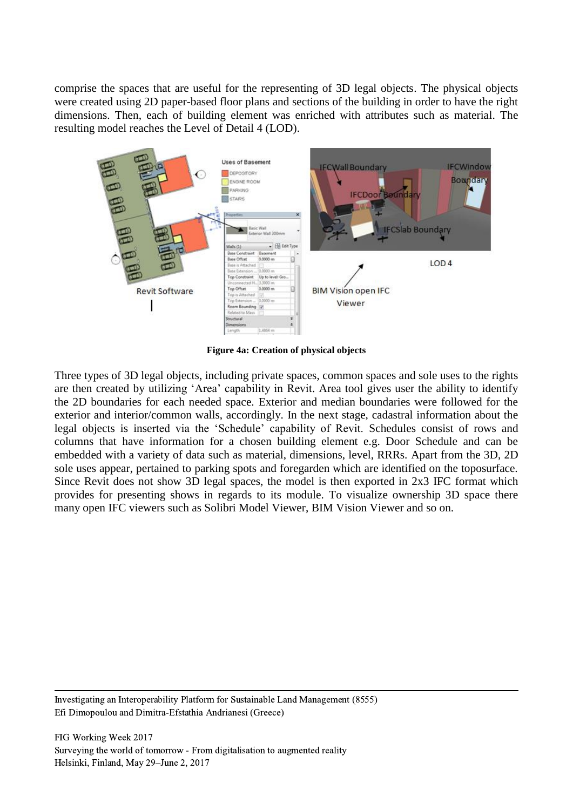comprise the spaces that are useful for the representing of 3D legal objects. The physical objects were created using 2D paper-based floor plans and sections of the building in order to have the right dimensions. Then, each of building element was enriched with attributes such as material. The resulting model reaches the Level of Detail 4 (LOD).



**Figure 4a: Creation of physical objects**

Three types of 3D legal objects, including private spaces, common spaces and sole uses to the rights are then created by utilizing 'Area' capability in Revit. Area tool gives user the ability to identify the 2D boundaries for each needed space. Exterior and median boundaries were followed for the exterior and interior/common walls, accordingly. In the next stage, cadastral information about the legal objects is inserted via the 'Schedule' capability of Revit. Schedules consist of rows and columns that have information for a chosen building element e.g. Door Schedule and can be embedded with a variety of data such as material, dimensions, level, RRRs. Apart from the 3D, 2D sole uses appear, pertained to parking spots and foregarden which are identified on the toposurface. Since Revit does not show 3D legal spaces, the model is then exported in 2x3 IFC format which provides for presenting shows in regards to its module. To visualize ownership 3D space there many open IFC viewers such as Solibri Model Viewer, BIM Vision Viewer and so on.

 Investigating an Interoperability Platform for Sustainable Land Management (8555) Efi Dimopoulou and Dimitra-Efstathia Andrianesi (Greece)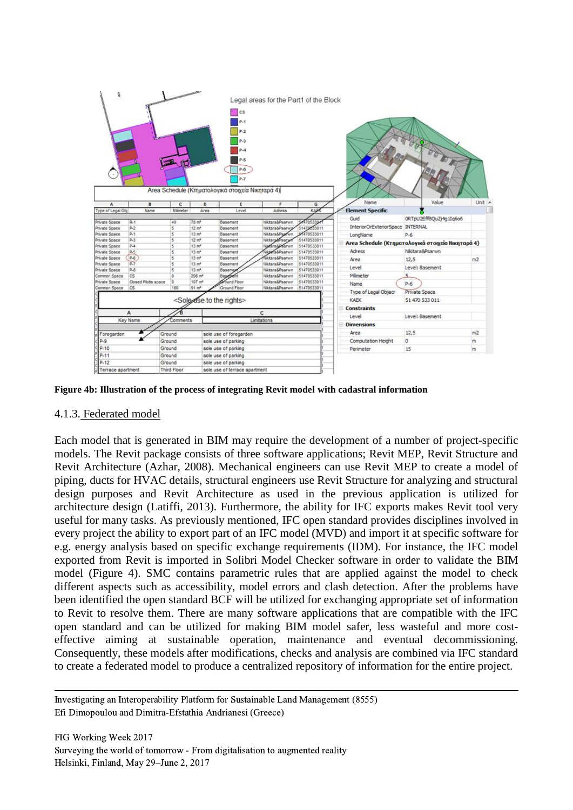

**Figure 4b: Illustration of the process of integrating Revit model with cadastral information**

#### 4.1.3. Federated model

Each model that is generated in BIM may require the development of a number of project-specific models. The Revit package consists of three software applications; Revit MEP, Revit Structure and Revit Architecture (Azhar, 2008). Mechanical engineers can use Revit MEP to create a model of piping, ducts for HVAC details, structural engineers use Revit Structure for analyzing and structural design purposes and Revit Architecture as used in the previous application is utilized for architecture design (Latiffi, 2013). Furthermore, the ability for IFC exports makes Revit tool very useful for many tasks. As previously mentioned, IFC open standard provides disciplines involved in every project the ability to export part of an IFC model (MVD) and import it at specific software for e.g. energy analysis based on specific exchange requirements (IDM). For instance, the IFC model exported from Revit is imported in Solibri Model Checker software in order to validate the BIM model (Figure 4). SMC contains parametric rules that are applied against the model to check different aspects such as accessibility, model errors and clash detection. After the problems have been identified the open standard BCF will be utilized for exchanging appropriate set of information to Revit to resolve them. There are many software applications that are compatible with the IFC open standard and can be utilized for making BIM model safer, less wasteful and more costeffective aiming at sustainable operation, maintenance and eventual decommissioning. Consequently, these models after modifications, checks and analysis are combined via IFC standard to create a federated model to produce a centralized repository of information for the entire project.

 Investigating an Interoperability Platform for Sustainable Land Management (8555) Efi Dimopoulou and Dimitra-Efstathia Andrianesi (Greece)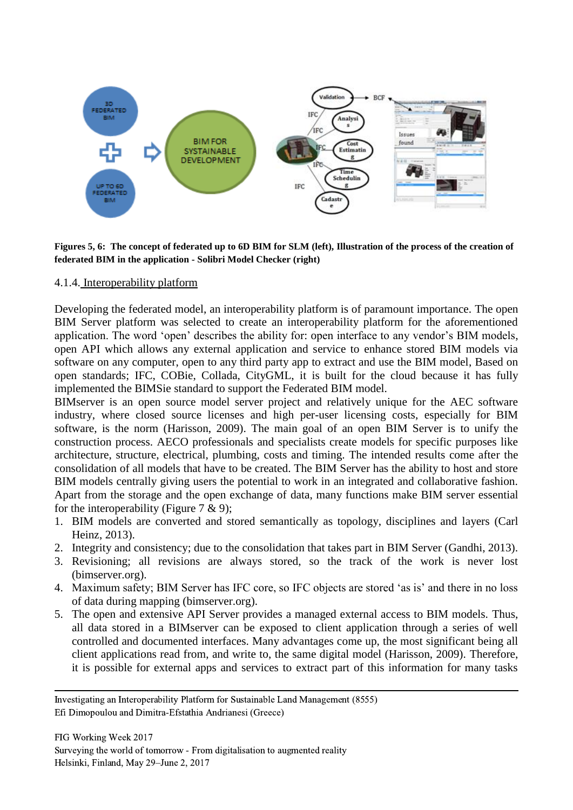

**Figures 5, 6: The concept of federated up to 6D BIM for SLM (left), Illustration of the process of the creation of federated BIM in the application - Solibri Model Checker (right)**

#### 4.1.4. Interoperability platform

Developing the federated model, an interoperability platform is of paramount importance. The open BIM Server platform was selected to create an interoperability platform for the aforementioned application. The word 'open' describes the ability for: open interface to any vendor's BIM models, open API which allows any external application and service to enhance stored BIM models via software on any computer, open to any third party app to extract and use the BIM model, Based on open standards; IFC, COBie, Collada, CityGML, it is built for the cloud because it has fully implemented the BIMSie standard to support the Federated BIM model.

BIMserver is an open source model server project and relatively unique for the AEC software industry, where closed source licenses and high per-user licensing costs, especially for BIM software, is the norm (Harisson, 2009). The main goal of an open BIM Server is to unify the construction process. AECO professionals and specialists create models for specific purposes like architecture, structure, electrical, plumbing, costs and timing. The intended results come after the consolidation of all models that have to be created. The BIM Server has the ability to host and store BIM models centrally giving users the potential to work in an integrated and collaborative fashion. Apart from the storage and the open exchange of data, many functions make BIM server essential for the interoperability (Figure  $7 \& 9$ );

- 1. BIM models are converted and stored semantically as topology, disciplines and layers (Carl Heinz, 2013).
- 2. Integrity and consistency; due to the consolidation that takes part in BIM Server (Gandhi, 2013).
- 3. Revisioning; all revisions are always stored, so the track of the work is never lost (bimserver.org).
- 4. Maximum safety; BIM Server has IFC core, so IFC objects are stored 'as is' and there in no loss of data during mapping (bimserver.org).
- 5. The open and extensive API Server provides a managed external access to BIM models. Thus, all data stored in a BIMserver can be exposed to client application through a series of well controlled and documented interfaces. Many advantages come up, the most significant being all client applications read from, and write to, the same digital model (Harisson, 2009). Therefore, it is possible for external apps and services to extract part of this information for many tasks

 Investigating an Interoperability Platform for Sustainable Land Management (8555) Efi Dimopoulou and Dimitra-Efstathia Andrianesi (Greece)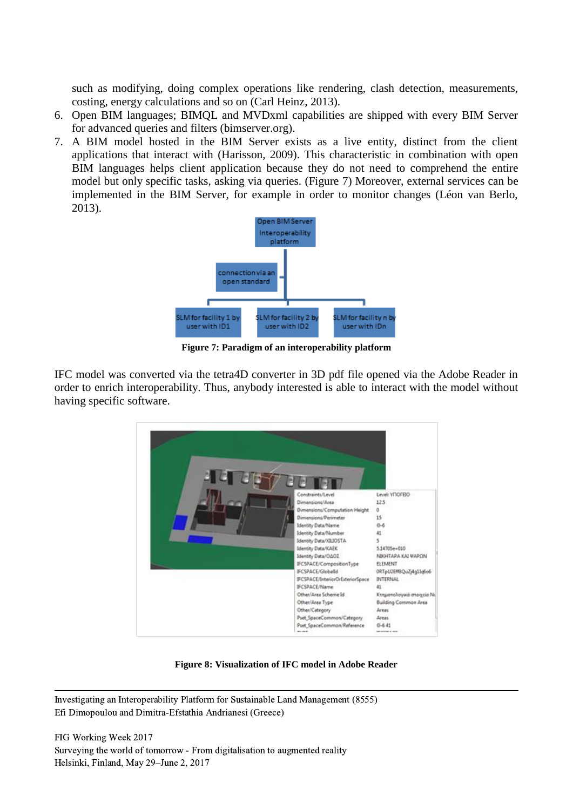such as modifying, doing complex operations like rendering, clash detection, measurements, costing, energy calculations and so on (Carl Heinz, 2013).

- 6. Open BIM languages; BIMQL and MVDxml capabilities are shipped with every BIM Server for advanced queries and filters (bimserver.org).
- 7. A BIM model hosted in the BIM Server exists as a live entity, distinct from the client applications that interact with (Harisson, 2009). This characteristic in combination with open BIM languages helps client application because they do not need to comprehend the entire model but only specific tasks, asking via queries. (Figure 7) Moreover, external services can be implemented in the BIM Server, for example in order to monitor changes (Léon van Berlo, 2013).



**Figure 7: Paradigm of an interoperability platform**

IFC model was converted via the tetra4D converter in 3D pdf file opened via the Adobe Reader in order to enrich interoperability. Thus, anybody interested is able to interact with the model without having specific software.



**Figure 8: Visualization of IFC model in Adobe Reader**

 Investigating an Interoperability Platform for Sustainable Land Management (8555) Efi Dimopoulou and Dimitra-Efstathia Andrianesi (Greece)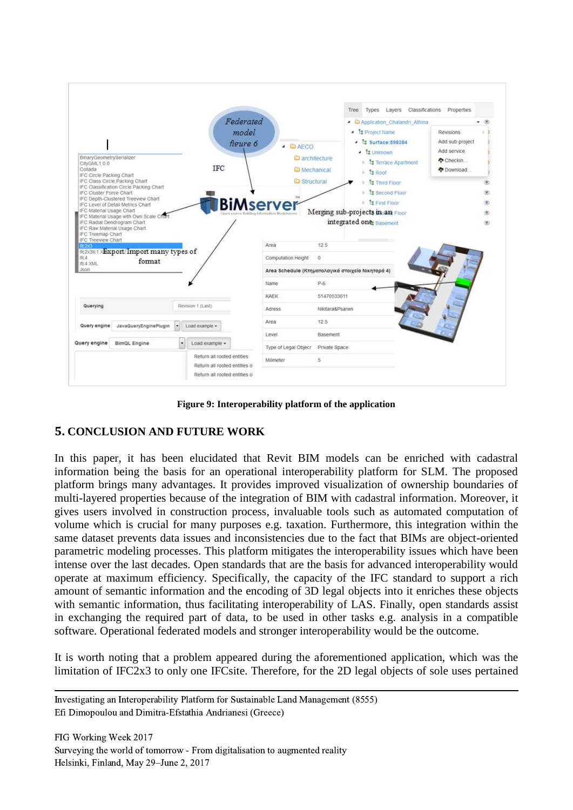

**Figure 9: Interoperability platform of the application**

### **5. CONCLUSION AND FUTURE WORK**

In this paper, it has been elucidated that Revit BIM models can be enriched with cadastral information being the basis for an operational interoperability platform for SLM. The proposed platform brings many advantages. It provides improved visualization of ownership boundaries of multi-layered properties because of the integration of BIM with cadastral information. Moreover, it gives users involved in construction process, invaluable tools such as automated computation of volume which is crucial for many purposes e.g. taxation. Furthermore, this integration within the same dataset prevents data issues and inconsistencies due to the fact that BIMs are object-oriented parametric modeling processes. This platform mitigates the interoperability issues which have been intense over the last decades. Open standards that are the basis for advanced interoperability would operate at maximum efficiency. Specifically, the capacity of the IFC standard to support a rich amount of semantic information and the encoding of 3D legal objects into it enriches these objects with semantic information, thus facilitating interoperability of LAS. Finally, open standards assist in exchanging the required part of data, to be used in other tasks e.g. analysis in a compatible software. Operational federated models and stronger interoperability would be the outcome.

It is worth noting that a problem appeared during the aforementioned application, which was the limitation of IFC2x3 to only one IFCsite. Therefore, for the 2D legal objects of sole uses pertained

 Investigating an Interoperability Platform for Sustainable Land Management (8555) Efi Dimopoulou and Dimitra-Efstathia Andrianesi (Greece)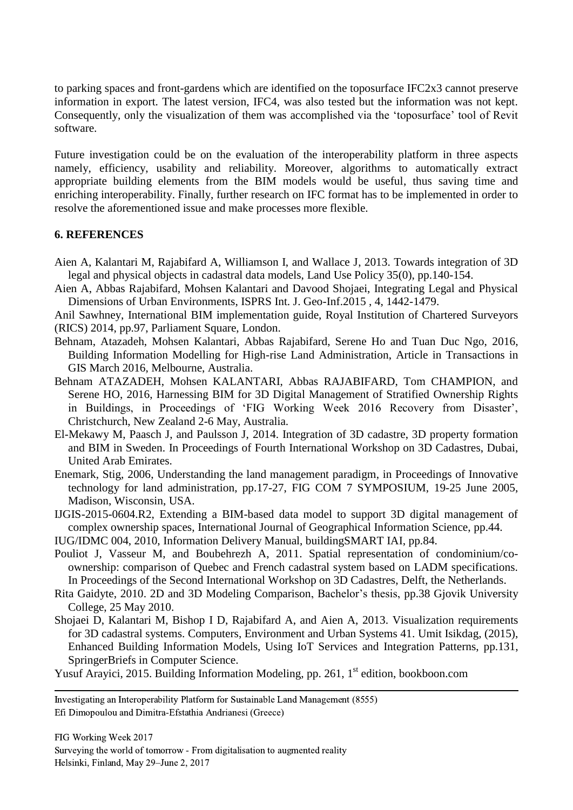to parking spaces and front-gardens which are identified on the toposurface IFC2x3 cannot preserve information in export. The latest version, IFC4, was also tested but the information was not kept. Consequently, only the visualization of them was accomplished via the 'toposurface' tool of Revit software.

Future investigation could be on the evaluation of the interoperability platform in three aspects namely, efficiency, usability and reliability. Moreover, algorithms to automatically extract appropriate building elements from the BIM models would be useful, thus saving time and enriching interoperability. Finally, further research on IFC format has to be implemented in order to resolve the aforementioned issue and make processes more flexible.

#### **6. REFERENCES**

- Aien A, Kalantari M, Rajabifard A, Williamson I, and Wallace J, 2013. Towards integration of 3D legal and physical objects in cadastral data models, Land Use Policy 35(0), pp.140-154.
- Aien A, Abbas Rajabifard, Mohsen Kalantari and Davood Shojaei, Integrating Legal and Physical Dimensions of Urban Environments, ISPRS Int. J. Geo-Inf.2015 , 4, 1442-1479.
- Anil Sawhney, International BIM implementation guide, Royal Institution of Chartered Surveyors (RICS) 2014, pp.97, Parliament Square, London.
- Behnam, Atazadeh, Mohsen Kalantari, Abbas Rajabifard, Serene Ho and Tuan Duc Ngo, 2016, Building Information Modelling for High-rise Land Administration, Article in Transactions in GIS March 2016, Melbourne, Australia.
- Behnam ATAZADEH, Mohsen KALANTARI, Abbas RAJABIFARD, Tom CHAMPION, and Serene HO, 2016, Harnessing BIM for 3D Digital Management of Stratified Ownership Rights in Buildings, in Proceedings of 'FIG Working Week 2016 Recovery from Disaster', Christchurch, New Zealand 2-6 May, Australia.
- El-Mekawy M, Paasch J, and Paulsson J, 2014. Integration of 3D cadastre, 3D property formation and BIM in Sweden. In Proceedings of Fourth International Workshop on 3D Cadastres, Dubai, United Arab Emirates.
- Enemark, Stig, 2006, Understanding the land management paradigm, in Proceedings of Innovative technology for land administration, pp.17-27, FIG COM 7 SYMPOSIUM, 19-25 June 2005, Madison, Wisconsin, USA.
- IJGIS-2015-0604.R2, Extending a BIM-based data model to support 3D digital management of complex ownership spaces, International Journal of Geographical Information Science, pp.44.
- IUG/IDMC 004, 2010, Information Delivery Manual, buildingSMART IAI, pp.84.
- Pouliot J, Vasseur M, and Boubehrezh A, 2011. Spatial representation of condominium/coownership: comparison of Quebec and French cadastral system based on LADM specifications. In Proceedings of the Second International Workshop on 3D Cadastres, Delft, the Netherlands.
- Rita Gaidyte, 2010. 2D and 3D Modeling Comparison, Bachelor's thesis, pp.38 Gjovik University College, 25 May 2010.
- Shojaei D, Kalantari M, Bishop I D, Rajabifard A, and Aien A, 2013. Visualization requirements for 3D cadastral systems. Computers, Environment and Urban Systems 41. Umit Isikdag, (2015), Enhanced Building Information Models, Using IoT Services and Integration Patterns, pp.131, SpringerBriefs in Computer Science.
- Yusuf Arayici, 2015. Building Information Modeling, pp. 261, 1<sup>st</sup> edition, [bookboon.com](http://www.bookboon.com/)

 Investigating an Interoperability Platform for Sustainable Land Management (8555) Efi Dimopoulou and Dimitra-Efstathia Andrianesi (Greece)